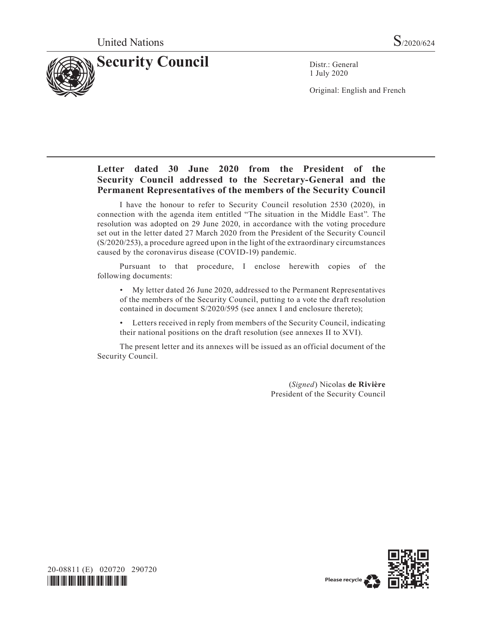

1 July 2020

Original: English and French

# **Letter dated 30 June 2020 from the President of the Security Council addressed to the Secretary-General and the Permanent Representatives of the members of the Security Council**

I have the honour to refer to Security Council resolution 2530 (2020), in connection with the agenda item entitled "The situation in the Middle East". The resolution was adopted on 29 June 2020, in accordance with the voting procedure set out in the letter dated 27 March 2020 from the President of the Security Council (S/2020/253), a procedure agreed upon in the light of the extraordinary circumstances caused by the coronavirus disease (COVID-19) pandemic.

Pursuant to that procedure, I enclose herewith copies of the following documents:

• My letter dated 26 June 2020, addressed to the Permanent Representatives of the members of the Security Council, putting to a vote the draft resolution contained in document S/2020/595 (see annex I and enclosure thereto);

• Letters received in reply from members of the Security Council, indicating their national positions on the draft resolution (see annexes II to XVI).

The present letter and its annexes will be issued as an official document of the Security Council.

> (*Signed*) Nicolas **de Rivière** President of the Security Council



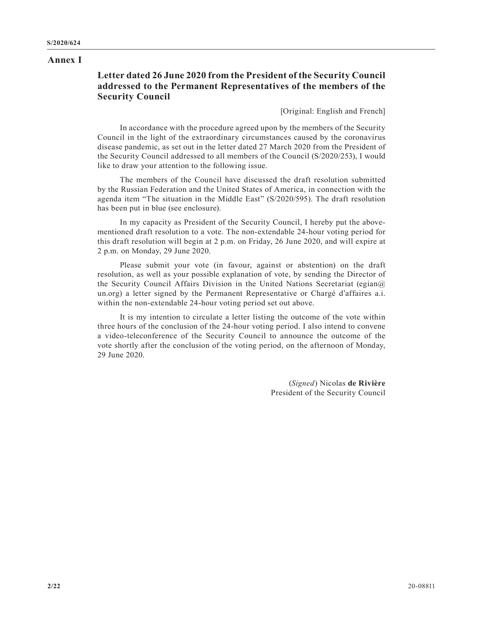#### **Annex I**

# **Letter dated 26 June 2020 from the President of the Security Council addressed to the Permanent Representatives of the members of the Security Council**

[Original: English and French]

In accordance with the procedure agreed upon by the members of the Security Council in the light of the extraordinary circumstances caused by the coronavirus disease pandemic, as set out in the letter dated 27 March 2020 from the President of the Security Council addressed to all members of the Council (S/2020/253), I would like to draw your attention to the following issue.

The members of the Council have discussed the draft resolution submitted by the Russian Federation and the United States of America, in connection with the agenda item "The situation in the Middle East" (S/2020/595). The draft resolution has been put in blue (see enclosure).

In my capacity as President of the Security Council, I hereby put the abovementioned draft resolution to a vote. The non-extendable 24-hour voting period for this draft resolution will begin at 2 p.m. on Friday, 26 June 2020, and will expire at 2 p.m. on Monday, 29 June 2020.

Please submit your vote (in favour, against or abstention) on the draft resolution, as well as your possible explanation of vote, by sending the Director of the Security Council Affairs Division in the United Nations Secretariat (egian@ un.org) a letter signed by the Permanent Representative or Chargé d'affaires a.i. within the non-extendable 24-hour voting period set out above.

It is my intention to circulate a letter listing the outcome of the vote within three hours of the conclusion of the 24-hour voting period. I also intend to convene a video-teleconference of the Security Council to announce the outcome of the vote shortly after the conclusion of the voting period, on the afternoon of Monday, 29 June 2020.

> (*Signed*) Nicolas **de Rivière** President of the Security Council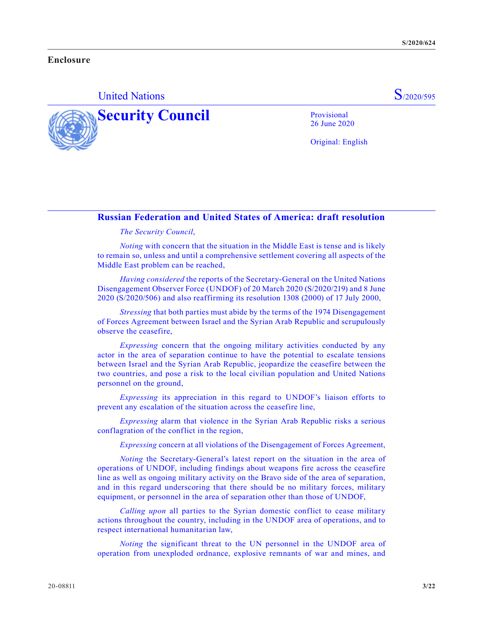### **Enclosure**

# United Nations S<sub>/2020/595</sub>



Original: English

26 June 2020

### **Russian Federation and United States of America: draft resolution**

#### *The Security Council*,

*Noting* with concern that the situation in the Middle East is tense and is likely to remain so, unless and until a comprehensive settlement covering all aspects of the Middle East problem can be reached,

*Having considered* the reports of the Secretary-General on the United Nations Disengagement Observer Force (UNDOF) of 20 March 2020 (S/2020/219) and 8 June 2020 (S/2020/506) and also reaffirming its resolution 1308 (2000) of 17 July 2000,

*Stressing* that both parties must abide by the terms of the 1974 Disengagement of Forces Agreement between Israel and the Syrian Arab Republic and scrupulously observe the ceasefire,

*Expressing* concern that the ongoing military activities conducted by any actor in the area of separation continue to have the potential to escalate tensions between Israel and the Syrian Arab Republic, jeopardize the ceasefire between the two countries, and pose a risk to the local civilian population and United Nations personnel on the ground,

*Expressing* its appreciation in this regard to UNDOF's liaison efforts to prevent any escalation of the situation across the ceasefire line,

*Expressing* alarm that violence in the Syrian Arab Republic risks a serious conflagration of the conflict in the region,

*Expressing* concern at all violations of the Disengagement of Forces Agreement,

*Noting* the Secretary-General's latest report on the situation in the area of operations of UNDOF, including findings about weapons fire across the ceasefire line as well as ongoing military activity on the Bravo side of the area of separation, and in this regard underscoring that there should be no military forces, military equipment, or personnel in the area of separation other than those of UNDOF,

*Calling upon* all parties to the Syrian domestic conflict to cease military actions throughout the country, including in the UNDOF area of operations, and to respect international humanitarian law,

*Noting* the significant threat to the UN personnel in the UNDOF area of operation from unexploded ordnance, explosive remnants of war and mines, and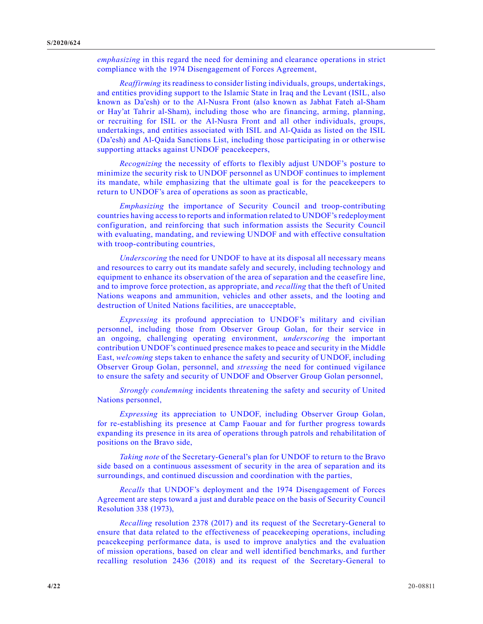*emphasizing* in this regard the need for demining and clearance operations in strict compliance with the 1974 Disengagement of Forces Agreement,

*Reaffirming* its readiness to consider listing individuals, groups, undertakings, and entities providing support to the Islamic State in Iraq and the Levant (ISIL, also known as Da'esh) or to the Al-Nusra Front (also known as Jabhat Fateh al-Sham or Hay'at Tahrir al-Sham), including those who are financing, arming, planning, or recruiting for ISIL or the Al-Nusra Front and all other individuals, groups, undertakings, and entities associated with ISIL and Al-Qaida as listed on the ISIL (Da'esh) and Al-Qaida Sanctions List, including those participating in or otherwise supporting attacks against UNDOF peacekeepers,

*Recognizing* the necessity of efforts to flexibly adjust UNDOF's posture to minimize the security risk to UNDOF personnel as UNDOF continues to implement its mandate, while emphasizing that the ultimate goal is for the peacekeepers to return to UNDOF's area of operations as soon as practicable,

*Emphasizing* the importance of Security Council and troop-contributing countries having access to reports and information related to UNDOF's redeployment configuration, and reinforcing that such information assists the Security Council with evaluating, mandating, and reviewing UNDOF and with effective consultation with troop-contributing countries,

*Underscoring* the need for UNDOF to have at its disposal all necessary means and resources to carry out its mandate safely and securely, including technology and equipment to enhance its observation of the area of separation and the ceasefire line, and to improve force protection, as appropriate, and *recalling* that the theft of United Nations weapons and ammunition, vehicles and other assets, and the looting and destruction of United Nations facilities, are unacceptable,

*Expressing* its profound appreciation to UNDOF's military and civilian personnel, including those from Observer Group Golan, for their service in an ongoing, challenging operating environment, *underscoring* the important contribution UNDOF's continued presence makes to peace and security in the Middle East, *welcoming* steps taken to enhance the safety and security of UNDOF, including Observer Group Golan, personnel, and *stressing* the need for continued vigilance to ensure the safety and security of UNDOF and Observer Group Golan personnel,

*Strongly condemning* incidents threatening the safety and security of United Nations personnel,

*Expressing* its appreciation to UNDOF, including Observer Group Golan, for re-establishing its presence at Camp Faouar and for further progress towards expanding its presence in its area of operations through patrols and rehabilitation of positions on the Bravo side,

*Taking note* of the Secretary-General's plan for UNDOF to return to the Bravo side based on a continuous assessment of security in the area of separation and its surroundings, and continued discussion and coordination with the parties,

*Recalls* that UNDOF's deployment and the 1974 Disengagement of Forces Agreement are steps toward a just and durable peace on the basis of Security Council Resolution 338 (1973),

*Recalling* resolution 2378 (2017) and its request of the Secretary-General to ensure that data related to the effectiveness of peacekeeping operations, including peacekeeping performance data, is used to improve analytics and the evaluation of mission operations, based on clear and well identified benchmarks, and further recalling resolution 2436 (2018) and its request of the Secretary-General to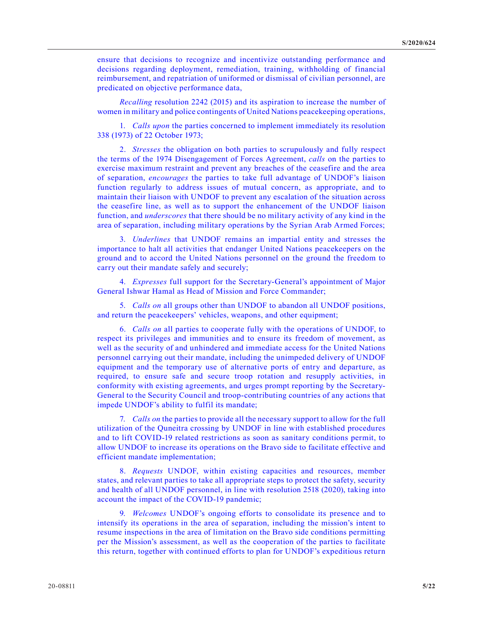ensure that decisions to recognize and incentivize outstanding performance and decisions regarding deployment, remediation, training, withholding of financial reimbursement, and repatriation of uniformed or dismissal of civilian personnel, are predicated on objective performance data,

*Recalling* resolution 2242 (2015) and its aspiration to increase the number of women in military and police contingents of United Nations peacekeeping operations,

1. *Calls upon* the parties concerned to implement immediately its resolution 338 (1973) of 22 October 1973;

2. *Stresses* the obligation on both parties to scrupulously and fully respect the terms of the 1974 Disengagement of Forces Agreement, *calls* on the parties to exercise maximum restraint and prevent any breaches of the ceasefire and the area of separation, *encourages* the parties to take full advantage of UNDOF's liaison function regularly to address issues of mutual concern, as appropriate, and to maintain their liaison with UNDOF to prevent any escalation of the situation across the ceasefire line, as well as to support the enhancement of the UNDOF liaison function, and *underscores* that there should be no military activity of any kind in the area of separation, including military operations by the Syrian Arab Armed Forces;

3. *Underlines* that UNDOF remains an impartial entity and stresses the importance to halt all activities that endanger United Nations peacekeepers on the ground and to accord the United Nations personnel on the ground the freedom to carry out their mandate safely and securely;

4. *Expresses* full support for the Secretary-General's appointment of Major General Ishwar Hamal as Head of Mission and Force Commander;

5. *Calls on* all groups other than UNDOF to abandon all UNDOF positions, and return the peacekeepers' vehicles, weapons, and other equipment;

6. *Calls on* all parties to cooperate fully with the operations of UNDOF, to respect its privileges and immunities and to ensure its freedom of movement, as well as the security of and unhindered and immediate access for the United Nations personnel carrying out their mandate, including the unimpeded delivery of UNDOF equipment and the temporary use of alternative ports of entry and departure, as required, to ensure safe and secure troop rotation and resupply activities, in conformity with existing agreements, and urges prompt reporting by the Secretary-General to the Security Council and troop-contributing countries of any actions that impede UNDOF's ability to fulfil its mandate;

7. *Calls on* the parties to provide all the necessary support to allow for the full utilization of the Quneitra crossing by UNDOF in line with established procedures and to lift COVID-19 related restrictions as soon as sanitary conditions permit, to allow UNDOF to increase its operations on the Bravo side to facilitate effective and efficient mandate implementation;

8. *Requests* UNDOF, within existing capacities and resources, member states, and relevant parties to take all appropriate steps to protect the safety, security and health of all UNDOF personnel, in line with resolution 2518 (2020), taking into account the impact of the COVID-19 pandemic;

9. *Welcomes* UNDOF's ongoing efforts to consolidate its presence and to intensify its operations in the area of separation, including the mission's intent to resume inspections in the area of limitation on the Bravo side conditions permitting per the Mission's assessment, as well as the cooperation of the parties to facilitate this return, together with continued efforts to plan for UNDOF's expeditious return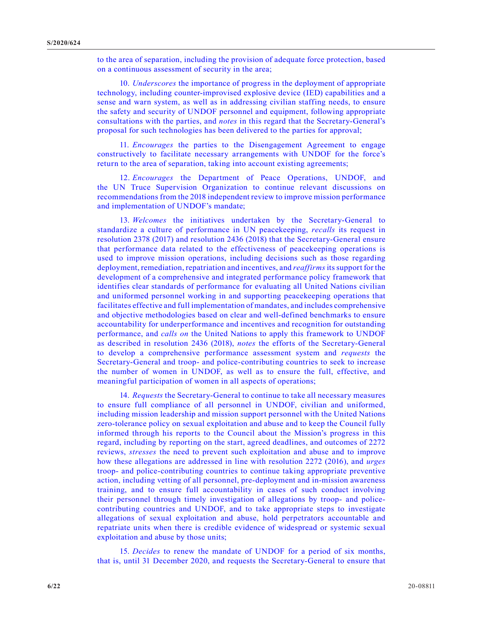to the area of separation, including the provision of adequate force protection, based on a continuous assessment of security in the area;

10. *Underscores* the importance of progress in the deployment of appropriate technology, including counter-improvised explosive device (IED) capabilities and a sense and warn system, as well as in addressing civilian staffing needs, to ensure the safety and security of UNDOF personnel and equipment, following appropriate consultations with the parties, and *notes* in this regard that the Secretary-General's proposal for such technologies has been delivered to the parties for approval;

11. *Encourages* the parties to the Disengagement Agreement to engage constructively to facilitate necessary arrangements with UNDOF for the force's return to the area of separation, taking into account existing agreements;

12. *Encourages* the Department of Peace Operations, UNDOF, and the UN Truce Supervision Organization to continue relevant discussions on recommendations from the 2018 independent review to improve mission performance and implementation of UNDOF's mandate;

13. *Welcomes* the initiatives undertaken by the Secretary-General to standardize a culture of performance in UN peacekeeping, *recalls* its request in resolution 2378 (2017) and resolution 2436 (2018) that the Secretary-General ensure that performance data related to the effectiveness of peacekeeping operations is used to improve mission operations, including decisions such as those regarding deployment, remediation, repatriation and incentives, and *reaffirms* its support for the development of a comprehensive and integrated performance policy framework that identifies clear standards of performance for evaluating all United Nations civilian and uniformed personnel working in and supporting peacekeeping operations that facilitates effective and full implementation of mandates, and includes comprehensive and objective methodologies based on clear and well-defined benchmarks to ensure accountability for underperformance and incentives and recognition for outstanding performance, and *calls on* the United Nations to apply this framework to UNDOF as described in resolution 2436 (2018), *notes* the efforts of the Secretary-General to develop a comprehensive performance assessment system and *requests* the Secretary-General and troop- and police-contributing countries to seek to increase the number of women in UNDOF, as well as to ensure the full, effective, and meaningful participation of women in all aspects of operations;

14. *Requests* the Secretary-General to continue to take all necessary measures to ensure full compliance of all personnel in UNDOF, civilian and uniformed, including mission leadership and mission support personnel with the United Nations zero-tolerance policy on sexual exploitation and abuse and to keep the Council fully informed through his reports to the Council about the Mission's progress in this regard, including by reporting on the start, agreed deadlines, and outcomes of 2272 reviews, *stresses* the need to prevent such exploitation and abuse and to improve how these allegations are addressed in line with resolution 2272 (2016), and *urges* troop- and police-contributing countries to continue taking appropriate preventive action, including vetting of all personnel, pre-deployment and in-mission awareness training, and to ensure full accountability in cases of such conduct involving their personnel through timely investigation of allegations by troop- and policecontributing countries and UNDOF, and to take appropriate steps to investigate allegations of sexual exploitation and abuse, hold perpetrators accountable and repatriate units when there is credible evidence of widespread or systemic sexual exploitation and abuse by those units;

15. *Decides* to renew the mandate of UNDOF for a period of six months, that is, until 31 December 2020, and requests the Secretary-General to ensure that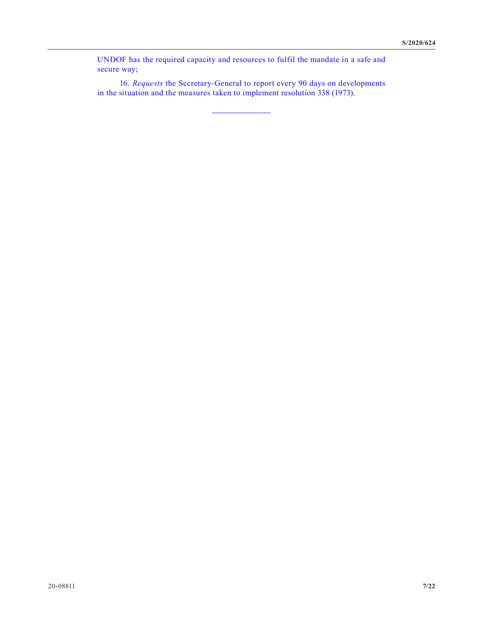UNDOF has the required capacity and resources to fulfil the mandate in a safe and secure way;

16. *Requests* the Secretary-General to report every 90 days on developments in the situation and the measures taken to implement resolution 338 (1973).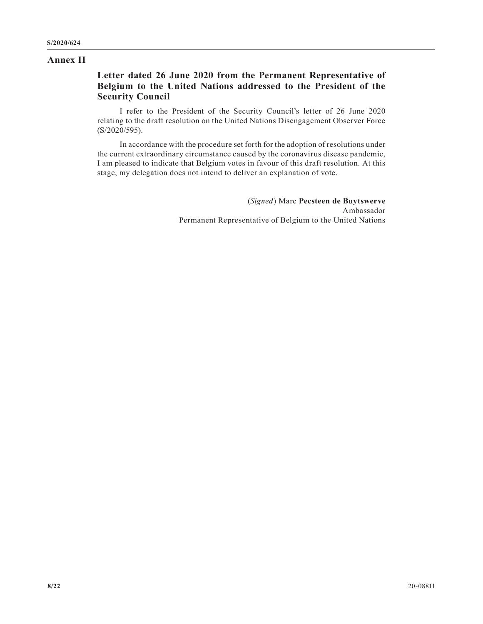#### **Annex II**

### **Letter dated 26 June 2020 from the Permanent Representative of Belgium to the United Nations addressed to the President of the Security Council**

I refer to the President of the Security Council's letter of 26 June 2020 relating to the draft resolution on the United Nations Disengagement Observer Force (S/2020/595).

In accordance with the procedure set forth for the adoption of resolutions under the current extraordinary circumstance caused by the coronavirus disease pandemic, I am pleased to indicate that Belgium votes in favour of this draft resolution. At this stage, my delegation does not intend to deliver an explanation of vote.

> (*Signed*) Marc **Pecsteen de Buytswerve** Ambassador Permanent Representative of Belgium to the United Nations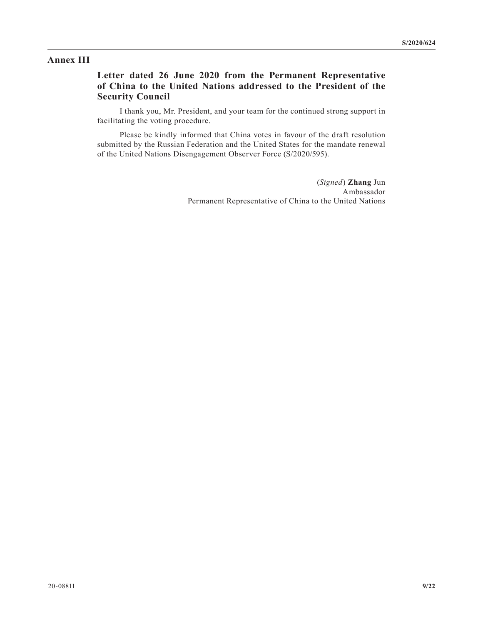#### **Annex III**

### **Letter dated 26 June 2020 from the Permanent Representative of China to the United Nations addressed to the President of the Security Council**

I thank you, Mr. President, and your team for the continued strong support in facilitating the voting procedure.

Please be kindly informed that China votes in favour of the draft resolution submitted by the Russian Federation and the United States for the mandate renewal of the United Nations Disengagement Observer Force (S/2020/595).

> (*Signed*) **Zhang** Jun Ambassador Permanent Representative of China to the United Nations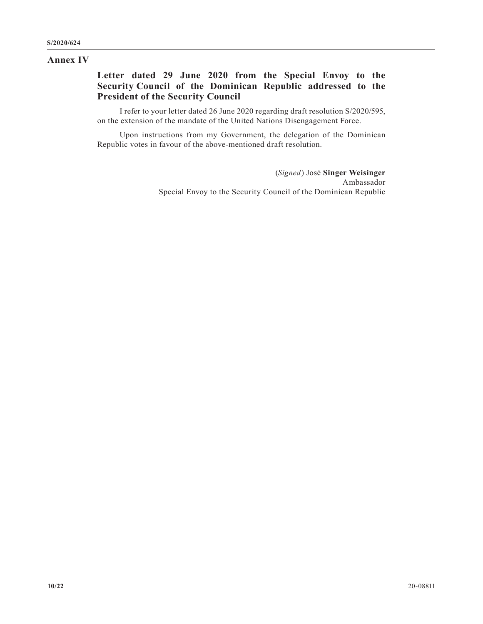#### **Annex IV**

### **Letter dated 29 June 2020 from the Special Envoy to the Security Council of the Dominican Republic addressed to the President of the Security Council**

I refer to your letter dated 26 June 2020 regarding draft resolution S/2020/595, on the extension of the mandate of the United Nations Disengagement Force.

Upon instructions from my Government, the delegation of the Dominican Republic votes in favour of the above-mentioned draft resolution.

> (*Signed*) José **Singer Weisinger** Ambassador Special Envoy to the Security Council of the Dominican Republic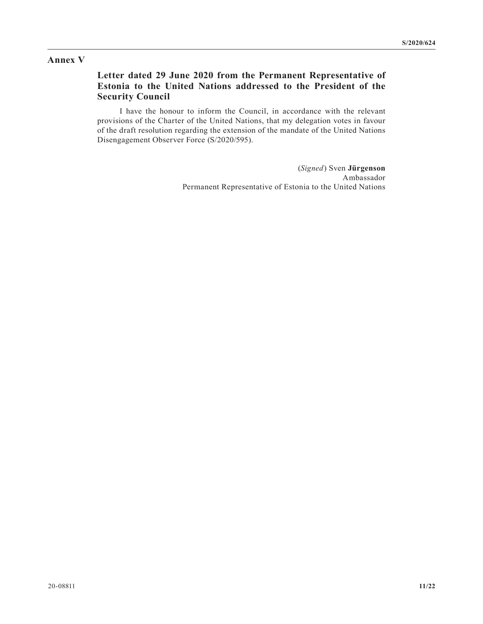### **Annex V**

# **Letter dated 29 June 2020 from the Permanent Representative of Estonia to the United Nations addressed to the President of the Security Council**

I have the honour to inform the Council, in accordance with the relevant provisions of the Charter of the United Nations, that my delegation votes in favour of the draft resolution regarding the extension of the mandate of the United Nations Disengagement Observer Force (S/2020/595).

> (*Signed*) Sven **Jürgenson** Ambassador Permanent Representative of Estonia to the United Nations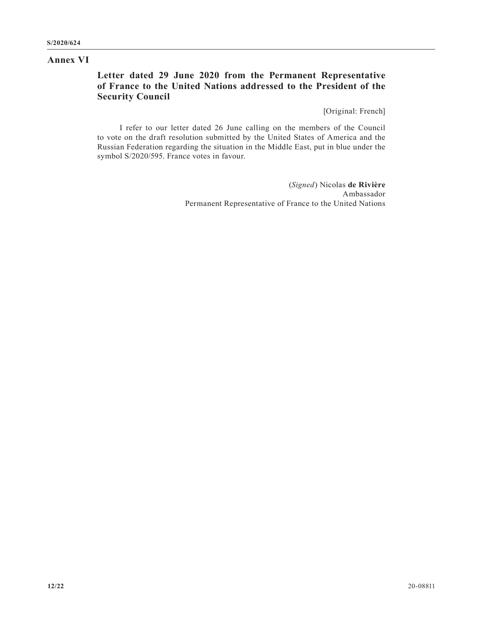#### **Annex VI**

# **Letter dated 29 June 2020 from the Permanent Representative of France to the United Nations addressed to the President of the Security Council**

[Original: French]

I refer to our letter dated 26 June calling on the members of the Council to vote on the draft resolution submitted by the United States of America and the Russian Federation regarding the situation in the Middle East, put in blue under the symbol S/2020/595. France votes in favour.

> (*Signed*) Nicolas **de Rivière** Ambassador Permanent Representative of France to the United Nations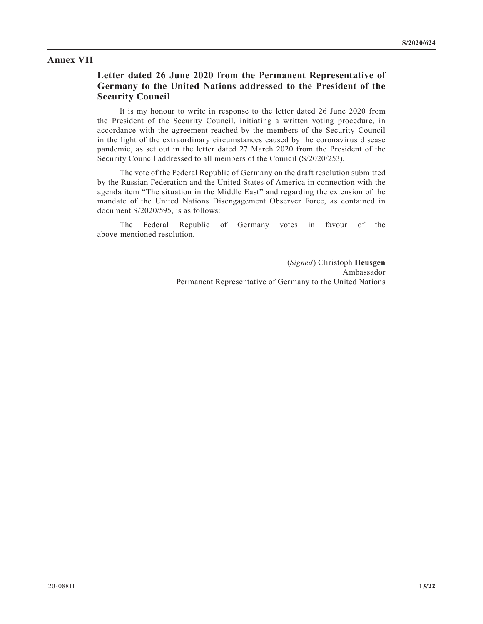#### **Annex VII**

### **Letter dated 26 June 2020 from the Permanent Representative of Germany to the United Nations addressed to the President of the Security Council**

It is my honour to write in response to the letter dated 26 June 2020 from the President of the Security Council, initiating a written voting procedure, in accordance with the agreement reached by the members of the Security Council in the light of the extraordinary circumstances caused by the coronavirus disease pandemic, as set out in the letter dated 27 March 2020 from the President of the Security Council addressed to all members of the Council (S/2020/253).

The vote of the Federal Republic of Germany on the draft resolution submitted by the Russian Federation and the United States of America in connection with the agenda item "The situation in the Middle East" and regarding the extension of the mandate of the United Nations Disengagement Observer Force, as contained in document S/2020/595, is as follows:

The Federal Republic of Germany votes in favour of the above-mentioned resolution.

> (*Signed*) Christoph **Heusgen** Ambassador Permanent Representative of Germany to the United Nations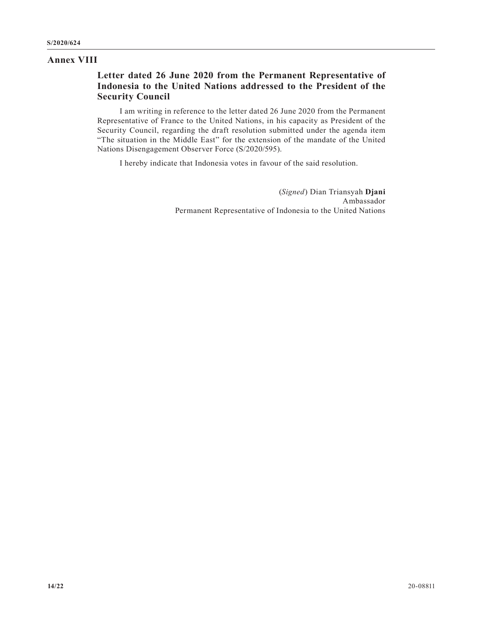#### **Annex VIII**

# **Letter dated 26 June 2020 from the Permanent Representative of Indonesia to the United Nations addressed to the President of the Security Council**

I am writing in reference to the letter dated 26 June 2020 from the Permanent Representative of France to the United Nations, in his capacity as President of the Security Council, regarding the draft resolution submitted under the agenda item "The situation in the Middle East" for the extension of the mandate of the United Nations Disengagement Observer Force (S/2020/595).

I hereby indicate that Indonesia votes in favour of the said resolution.

(*Signed*) Dian Triansyah **Djani** Ambassador Permanent Representative of Indonesia to the United Nations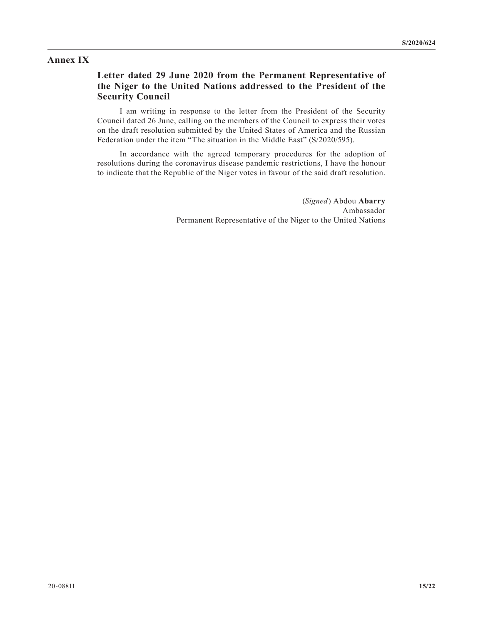#### **Annex IX**

### **Letter dated 29 June 2020 from the Permanent Representative of the Niger to the United Nations addressed to the President of the Security Council**

I am writing in response to the letter from the President of the Security Council dated 26 June, calling on the members of the Council to express their votes on the draft resolution submitted by the United States of America and the Russian Federation under the item "The situation in the Middle East" (S/2020/595).

In accordance with the agreed temporary procedures for the adoption of resolutions during the coronavirus disease pandemic restrictions, I have the honour to indicate that the Republic of the Niger votes in favour of the said draft resolution.

> (*Signed*) Abdou **Abarry** Ambassador Permanent Representative of the Niger to the United Nations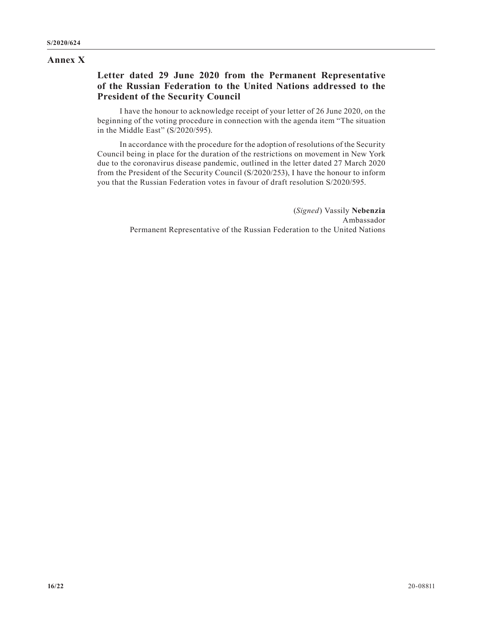#### **Annex X**

# **Letter dated 29 June 2020 from the Permanent Representative of the Russian Federation to the United Nations addressed to the President of the Security Council**

I have the honour to acknowledge receipt of your letter of 26 June 2020, on the beginning of the voting procedure in connection with the agenda item "The situation in the Middle East" (S/2020/595).

In accordance with the procedure for the adoption of resolutions of the Security Council being in place for the duration of the restrictions on movement in New York due to the coronavirus disease pandemic, outlined in the letter dated 27 March 2020 from the President of the Security Council (S/2020/253), I have the honour to inform you that the Russian Federation votes in favour of draft resolution S/2020/595.

> (*Signed*) Vassily **Nebenzia** Ambassador Permanent Representative of the Russian Federation to the United Nations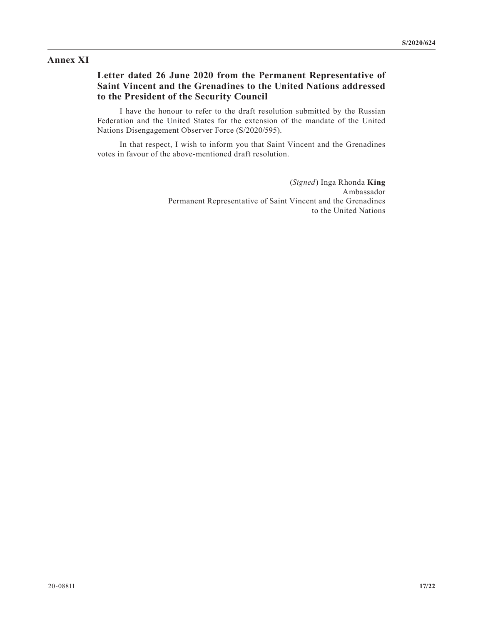### **Annex XI**

## **Letter dated 26 June 2020 from the Permanent Representative of Saint Vincent and the Grenadines to the United Nations addressed to the President of the Security Council**

I have the honour to refer to the draft resolution submitted by the Russian Federation and the United States for the extension of the mandate of the United Nations Disengagement Observer Force (S/2020/595).

In that respect, I wish to inform you that Saint Vincent and the Grenadines votes in favour of the above-mentioned draft resolution.

> (*Signed*) Inga Rhonda **King** Ambassador Permanent Representative of Saint Vincent and the Grenadines to the United Nations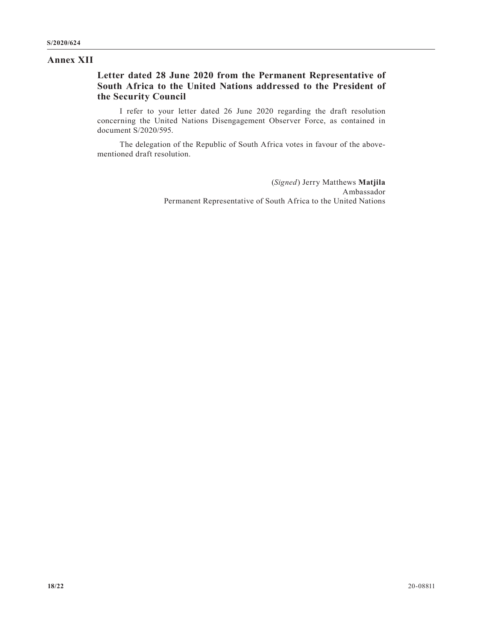#### **Annex XII**

# **Letter dated 28 June 2020 from the Permanent Representative of South Africa to the United Nations addressed to the President of the Security Council**

I refer to your letter dated 26 June 2020 regarding the draft resolution concerning the United Nations Disengagement Observer Force, as contained in document S/2020/595.

The delegation of the Republic of South Africa votes in favour of the abovementioned draft resolution.

> (*Signed*) Jerry Matthews **Matjila** Ambassador Permanent Representative of South Africa to the United Nations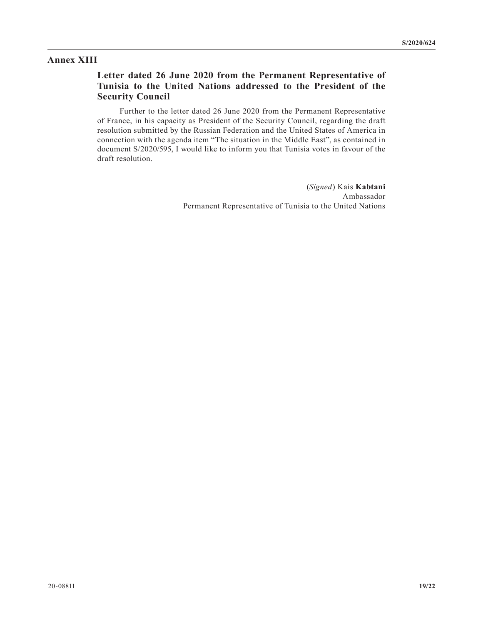#### **Annex XIII**

# **Letter dated 26 June 2020 from the Permanent Representative of Tunisia to the United Nations addressed to the President of the Security Council**

Further to the letter dated 26 June 2020 from the Permanent Representative of France, in his capacity as President of the Security Council, regarding the draft resolution submitted by the Russian Federation and the United States of America in connection with the agenda item "The situation in the Middle East", as contained in document S/2020/595, I would like to inform you that Tunisia votes in favour of the draft resolution.

> (*Signed*) Kais **Kabtani** Ambassador Permanent Representative of Tunisia to the United Nations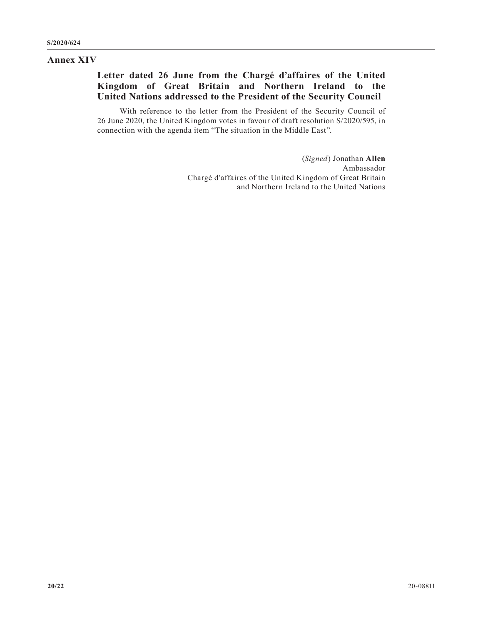### **Annex XIV**

# **Letter dated 26 June from the Chargé d'affaires of the United Kingdom of Great Britain and Northern Ireland to the United Nations addressed to the President of the Security Council**

With reference to the letter from the President of the Security Council of 26 June 2020, the United Kingdom votes in favour of draft resolution S/2020/595, in connection with the agenda item "The situation in the Middle East".

> (*Signed*) Jonathan **Allen** Ambassador Chargé d'affaires of the United Kingdom of Great Britain and Northern Ireland to the United Nations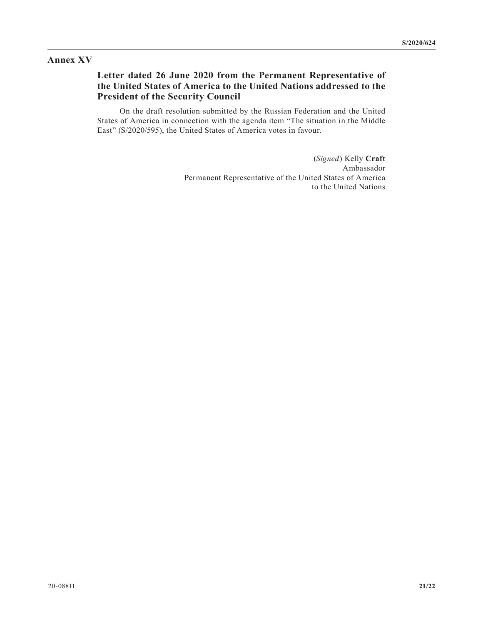### **Annex XV**

# **Letter dated 26 June 2020 from the Permanent Representative of the United States of America to the United Nations addressed to the President of the Security Council**

On the draft resolution submitted by the Russian Federation and the United States of America in connection with the agenda item "The situation in the Middle East" (S/2020/595), the United States of America votes in favour.

> (*Signed*) Kelly **Craft** Ambassador Permanent Representative of the United States of America to the United Nations